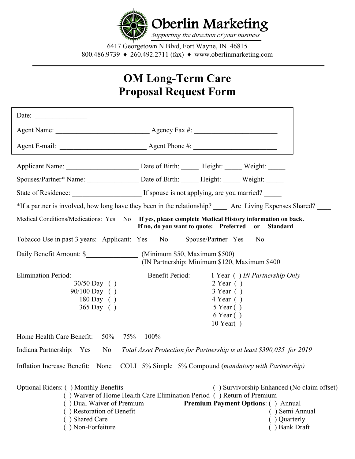

6417 Georgetown N Blvd, Fort Wayne, IN 46815 800.486.9739 ♦ 260.492.2711 (fax) ♦ www.oberlinmarketing.com

# **OM Long-Term Care Proposal Request Form**

|                                                                                                                                                                                                                                                                                                                                                           | Spouses/Partner* Name: ___________________ Date of Birth: ______ Height: ______ Weight: ______                                                            |  |  |  |  |
|-----------------------------------------------------------------------------------------------------------------------------------------------------------------------------------------------------------------------------------------------------------------------------------------------------------------------------------------------------------|-----------------------------------------------------------------------------------------------------------------------------------------------------------|--|--|--|--|
|                                                                                                                                                                                                                                                                                                                                                           |                                                                                                                                                           |  |  |  |  |
|                                                                                                                                                                                                                                                                                                                                                           | *If a partner is involved, how long have they been in the relationship? ______ Are Living Expenses Shared? ____                                           |  |  |  |  |
|                                                                                                                                                                                                                                                                                                                                                           | Medical Conditions/Medications: Yes No If yes, please complete Medical History information on back.<br>If no, do you want to quote: Preferred or Standard |  |  |  |  |
| Tobacco Use in past 3 years: Applicant: Yes No                                                                                                                                                                                                                                                                                                            | Spouse/Partner Yes<br>No                                                                                                                                  |  |  |  |  |
|                                                                                                                                                                                                                                                                                                                                                           | (IN Partnership: Minimum \$120, Maximum \$400                                                                                                             |  |  |  |  |
| <b>Elimination Period:</b><br>$30/50$ Day ()<br>90/100 Day ()<br>180 Day ()<br>$365$ Day ()                                                                                                                                                                                                                                                               | Benefit Period:<br>1 Year () IN Partnership Only<br>$2$ Year ()<br>$3$ Year ()<br>$4$ Year ()<br>$5$ Year ()<br>$6$ Year $( )$<br>$10$ Year()             |  |  |  |  |
| Home Health Care Benefit:<br>50%<br>75%                                                                                                                                                                                                                                                                                                                   | 100%                                                                                                                                                      |  |  |  |  |
|                                                                                                                                                                                                                                                                                                                                                           | Indiana Partnership: Yes No Total Asset Protection for Partnership is at least \$390,035 for 2019                                                         |  |  |  |  |
|                                                                                                                                                                                                                                                                                                                                                           | Inflation Increase Benefit: None COLI 5% Simple 5% Compound (mandatory with Partnership)                                                                  |  |  |  |  |
| Optional Riders: () Monthly Benefits<br>() Survivorship Enhanced (No claim offset)<br>() Waiver of Home Health Care Elimination Period () Return of Premium<br>() Dual Waiver of Premium<br><b>Premium Payment Options: () Annual</b><br>) Restoration of Benefit<br>() Semi Annual<br>) Shared Care<br>() Quarterly<br>) Non-Forfeiture<br>() Bank Draft |                                                                                                                                                           |  |  |  |  |